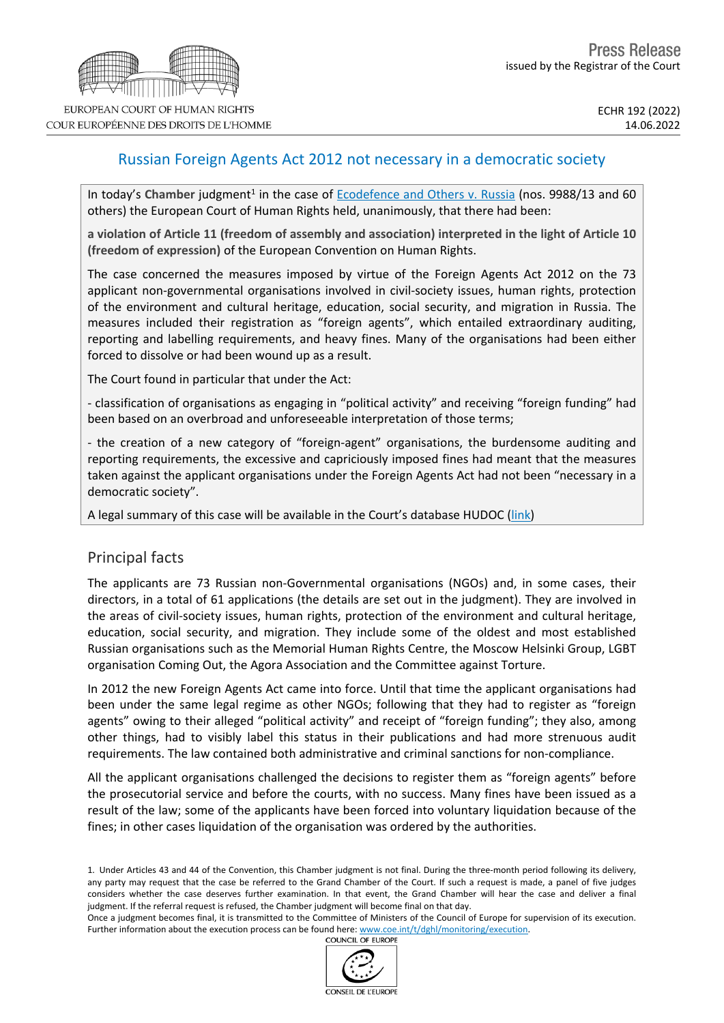# Russian Foreign Agents Act 2012 not necessary in a democratic society

In today's Chamber judgment<sup>1</sup> in the case of **[Ecodefence](https://hudoc.echr.coe.int/eng?i=001-217751) and Others v. Russia** (nos. 9988/13 and 60 others) the European Court of Human Rights held, unanimously, that there had been:

**a violation of Article 11 (freedom of assembly and association) interpreted in the light of Article 10 (freedom of expression)** of the European Convention on Human Rights.

The case concerned the measures imposed by virtue of the Foreign Agents Act 2012 on the 73 applicant non-governmental organisations involved in civil-society issues, human rights, protection of the environment and cultural heritage, education, social security, and migration in Russia. The measures included their registration as "foreign agents", which entailed extraordinary auditing, reporting and labelling requirements, and heavy fines. Many of the organisations had been either forced to dissolve or had been wound up as a result.

The Court found in particular that under the Act:

- classification of organisations as engaging in "political activity" and receiving "foreign funding" had been based on an overbroad and unforeseeable interpretation of those terms;

- the creation of a new category of "foreign-agent" organisations, the burdensome auditing and reporting requirements, the excessive and capriciously imposed fines had meant that the measures taken against the applicant organisations under the Foreign Agents Act had not been "necessary in a democratic society".

A legal summary of this case will be available in the Court's database HUDOC ([link](https://hudoc.echr.coe.int/eng?i=002-13687))

## Principal facts

The applicants are 73 Russian non-Governmental organisations (NGOs) and, in some cases, their directors, in a total of 61 applications (the details are set out in the judgment). They are involved in the areas of civil-society issues, human rights, protection of the environment and cultural heritage, education, social security, and migration. They include some of the oldest and most established Russian organisations such as the Memorial Human Rights Centre, the Moscow Helsinki Group, LGBT organisation Coming Out, the Agora Association and the Committee against Torture.

In 2012 the new Foreign Agents Act came into force. Until that time the applicant organisations had been under the same legal regime as other NGOs; following that they had to register as "foreign agents" owing to their alleged "political activity" and receipt of "foreign funding"; they also, among other things, had to visibly label this status in their publications and had more strenuous audit requirements. The law contained both administrative and criminal sanctions for non-compliance.

All the applicant organisations challenged the decisions to register them as "foreign agents" before the prosecutorial service and before the courts, with no success. Many fines have been issued as a result of the law; some of the applicants have been forced into voluntary liquidation because of the fines; in other cases liquidation of the organisation was ordered by the authorities.

Once a judgment becomes final, it is transmitted to the Committee of Ministers of the Council of Europe for supervision of its execution. Further information about the execution process can be found here: [www.coe.int/t/dghl/monitoring/execution](http://www.coe.int/t/dghl/monitoring/execution).<br>COUNCIL OF EUROPE



<sup>1.</sup> Under Articles 43 and 44 of the Convention, this Chamber judgment is not final. During the three-month period following its delivery, any party may request that the case be referred to the Grand Chamber of the Court. If such a request is made, a panel of five judges considers whether the case deserves further examination. In that event, the Grand Chamber will hear the case and deliver a final judgment. If the referral request is refused, the Chamber judgment will become final on that day.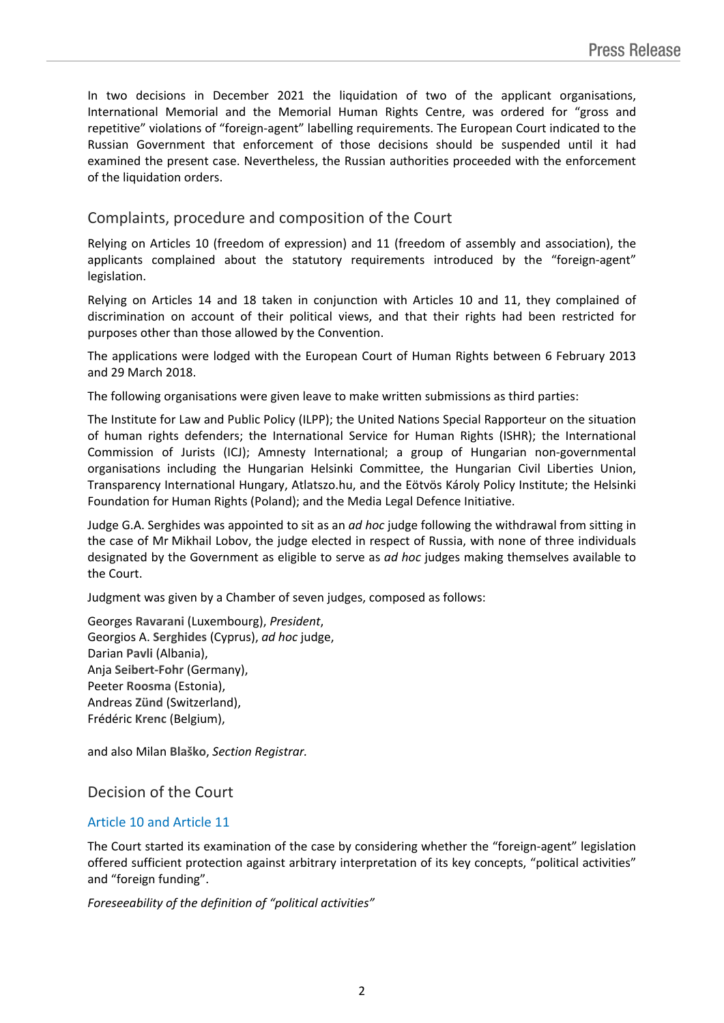In two decisions in December 2021 the liquidation of two of the applicant organisations, International Memorial and the Memorial Human Rights Centre, was ordered for "gross and repetitive" violations of "foreign-agent" labelling requirements. The European Court indicated to the Russian Government that enforcement of those decisions should be suspended until it had examined the present case. Nevertheless, the Russian authorities proceeded with the enforcement of the liquidation orders.

# Complaints, procedure and composition of the Court

Relying on Articles 10 (freedom of expression) and 11 (freedom of assembly and association), the applicants complained about the statutory requirements introduced by the "foreign-agent" legislation.

Relying on Articles 14 and 18 taken in conjunction with Articles 10 and 11, they complained of discrimination on account of their political views, and that their rights had been restricted for purposes other than those allowed by the Convention.

The applications were lodged with the European Court of Human Rights between 6 February 2013 and 29 March 2018.

The following organisations were given leave to make written submissions as third parties:

The Institute for Law and Public Policy (ILPP); the United Nations Special Rapporteur on the situation of human rights defenders; the International Service for Human Rights (ISHR); the International Commission of Jurists (ICJ); Amnesty International; a group of Hungarian non-governmental organisations including the Hungarian Helsinki Committee, the Hungarian Civil Liberties Union, Transparency International Hungary, Atlatszo.hu, and the Eötvös Károly Policy Institute; the Helsinki Foundation for Human Rights (Poland); and the Media Legal Defence Initiative.

Judge G.A. Serghides was appointed to sit as an *ad hoc* judge following the withdrawal from sitting in the case of Mr Mikhail Lobov, the judge elected in respect of Russia, with none of three individuals designated by the Government as eligible to serve as *ad hoc* judges making themselves available to the Court.

Judgment was given by a Chamber of seven judges, composed as follows:

Georges **Ravarani** (Luxembourg), *President*, Georgios A. **Serghides** (Cyprus), *ad hoc* judge, Darian **Pavli** (Albania), Anja **Seibert-Fohr** (Germany), Peeter **Roosma** (Estonia), Andreas **Zünd** (Switzerland), Frédéric **Krenc** (Belgium),

and also Milan **Blaško**, *Section Registrar.*

## Decision of the Court

#### Article 10 and Article 11

The Court started its examination of the case by considering whether the "foreign-agent" legislation offered sufficient protection against arbitrary interpretation of its key concepts, "political activities" and "foreign funding".

*Foreseeability of the definition of "political activities"*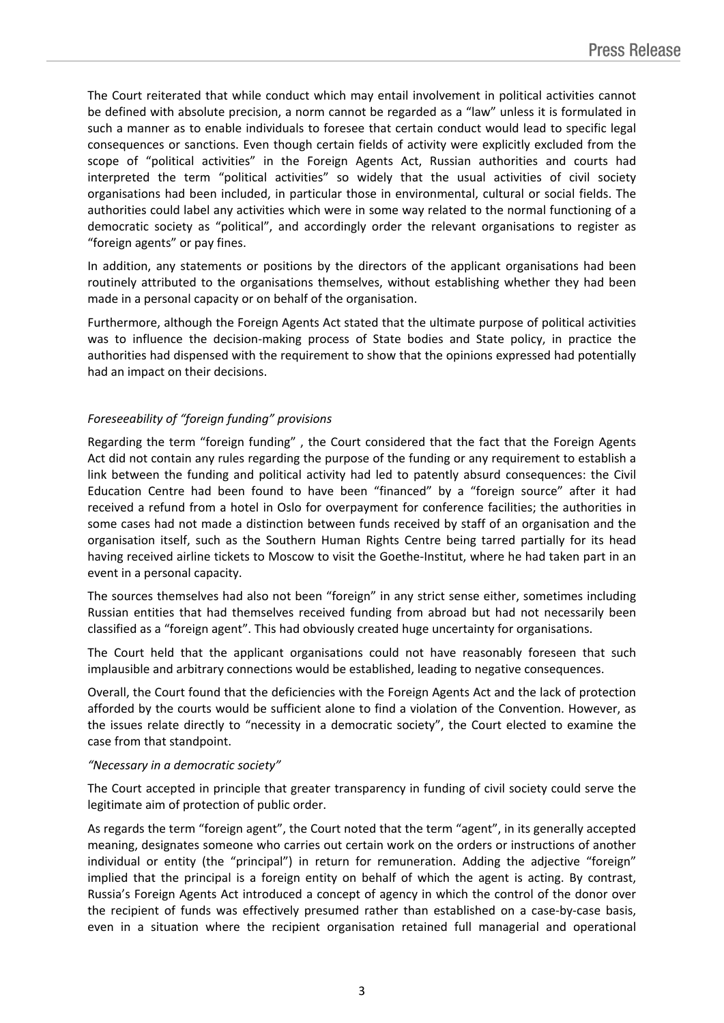The Court reiterated that while conduct which may entail involvement in political activities cannot be defined with absolute precision, a norm cannot be regarded as a "law" unless it is formulated in such a manner as to enable individuals to foresee that certain conduct would lead to specific legal consequences or sanctions. Even though certain fields of activity were explicitly excluded from the scope of "political activities" in the Foreign Agents Act, Russian authorities and courts had interpreted the term "political activities" so widely that the usual activities of civil society organisations had been included, in particular those in environmental, cultural or social fields. The authorities could label any activities which were in some way related to the normal functioning of a democratic society as "political", and accordingly order the relevant organisations to register as "foreign agents" or pay fines.

In addition, any statements or positions by the directors of the applicant organisations had been routinely attributed to the organisations themselves, without establishing whether they had been made in a personal capacity or on behalf of the organisation.

Furthermore, although the Foreign Agents Act stated that the ultimate purpose of political activities was to influence the decision-making process of State bodies and State policy, in practice the authorities had dispensed with the requirement to show that the opinions expressed had potentially had an impact on their decisions.

#### *Foreseeability of "foreign funding" provisions*

Regarding the term "foreign funding" , the Court considered that the fact that the Foreign Agents Act did not contain any rules regarding the purpose of the funding or any requirement to establish a link between the funding and political activity had led to patently absurd consequences: the Civil Education Centre had been found to have been "financed" by a "foreign source" after it had received a refund from a hotel in Oslo for overpayment for conference facilities; the authorities in some cases had not made a distinction between funds received by staff of an organisation and the organisation itself, such as the Southern Human Rights Centre being tarred partially for its head having received airline tickets to Moscow to visit the Goethe-Institut, where he had taken part in an event in a personal capacity.

The sources themselves had also not been "foreign" in any strict sense either, sometimes including Russian entities that had themselves received funding from abroad but had not necessarily been classified as a "foreign agent". This had obviously created huge uncertainty for organisations.

The Court held that the applicant organisations could not have reasonably foreseen that such implausible and arbitrary connections would be established, leading to negative consequences.

Overall, the Court found that the deficiencies with the Foreign Agents Act and the lack of protection afforded by the courts would be sufficient alone to find a violation of the Convention. However, as the issues relate directly to "necessity in a democratic society", the Court elected to examine the case from that standpoint.

#### *"Necessary in a democratic society"*

The Court accepted in principle that greater transparency in funding of civil society could serve the legitimate aim of protection of public order.

As regards the term "foreign agent", the Court noted that the term "agent", in its generally accepted meaning, designates someone who carries out certain work on the orders or instructions of another individual or entity (the "principal") in return for remuneration. Adding the adjective "foreign" implied that the principal is a foreign entity on behalf of which the agent is acting. By contrast, Russia's Foreign Agents Act introduced a concept of agency in which the control of the donor over the recipient of funds was effectively presumed rather than established on a case-by-case basis, even in a situation where the recipient organisation retained full managerial and operational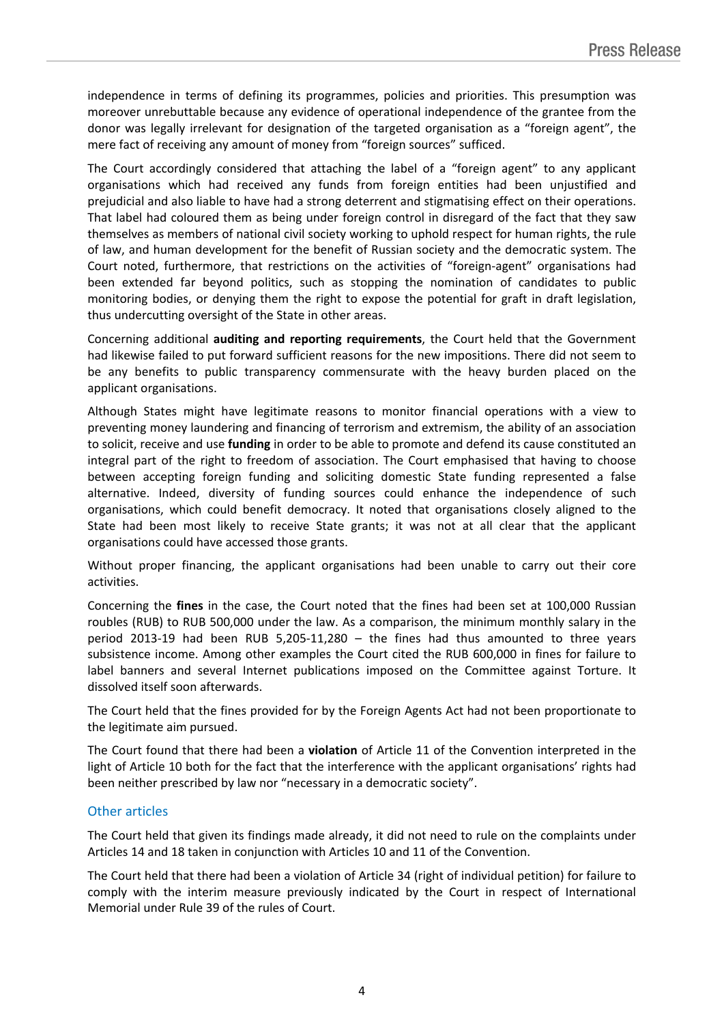independence in terms of defining its programmes, policies and priorities. This presumption was moreover unrebuttable because any evidence of operational independence of the grantee from the donor was legally irrelevant for designation of the targeted organisation as a "foreign agent", the mere fact of receiving any amount of money from "foreign sources" sufficed.

The Court accordingly considered that attaching the label of a "foreign agent" to any applicant organisations which had received any funds from foreign entities had been unjustified and prejudicial and also liable to have had a strong deterrent and stigmatising effect on their operations. That label had coloured them as being under foreign control in disregard of the fact that they saw themselves as members of national civil society working to uphold respect for human rights, the rule of law, and human development for the benefit of Russian society and the democratic system. The Court noted, furthermore, that restrictions on the activities of "foreign-agent" organisations had been extended far beyond politics, such as stopping the nomination of candidates to public monitoring bodies, or denying them the right to expose the potential for graft in draft legislation, thus undercutting oversight of the State in other areas.

Concerning additional **auditing and reporting requirements**, the Court held that the Government had likewise failed to put forward sufficient reasons for the new impositions. There did not seem to be any benefits to public transparency commensurate with the heavy burden placed on the applicant organisations.

Although States might have legitimate reasons to monitor financial operations with a view to preventing money laundering and financing of terrorism and extremism, the ability of an association to solicit, receive and use **funding** in order to be able to promote and defend its cause constituted an integral part of the right to freedom of association. The Court emphasised that having to choose between accepting foreign funding and soliciting domestic State funding represented a false alternative. Indeed, diversity of funding sources could enhance the independence of such organisations, which could benefit democracy. It noted that organisations closely aligned to the State had been most likely to receive State grants; it was not at all clear that the applicant organisations could have accessed those grants.

Without proper financing, the applicant organisations had been unable to carry out their core activities.

Concerning the **fines** in the case, the Court noted that the fines had been set at 100,000 Russian roubles (RUB) to RUB 500,000 under the law. As a comparison, the minimum monthly salary in the period 2013-19 had been RUB 5,205-11,280 – the fines had thus amounted to three years subsistence income. Among other examples the Court cited the RUB 600,000 in fines for failure to label banners and several Internet publications imposed on the Committee against Torture. It dissolved itself soon afterwards.

The Court held that the fines provided for by the Foreign Agents Act had not been proportionate to the legitimate aim pursued.

The Court found that there had been a **violation** of Article 11 of the Convention interpreted in the light of Article 10 both for the fact that the interference with the applicant organisations' rights had been neither prescribed by law nor "necessary in a democratic society".

#### Other articles

The Court held that given its findings made already, it did not need to rule on the complaints under Articles 14 and 18 taken in conjunction with Articles 10 and 11 of the Convention.

The Court held that there had been a violation of Article 34 (right of individual petition) for failure to comply with the interim measure previously indicated by the Court in respect of International Memorial under Rule 39 of the rules of Court.